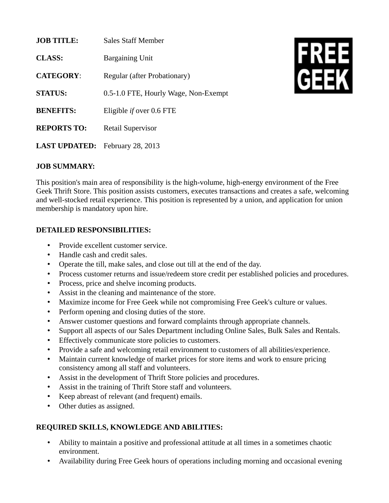| <b>JOB TITLE:</b>    | <b>Sales Staff Member</b>            |
|----------------------|--------------------------------------|
| <b>CLASS:</b>        | <b>Bargaining Unit</b>               |
| <b>CATEGORY:</b>     | Regular (after Probationary)         |
| <b>STATUS:</b>       | 0.5-1.0 FTE, Hourly Wage, Non-Exempt |
| <b>BENEFITS:</b>     | Eligible <i>if</i> over 0.6 FTE      |
| <b>REPORTS TO:</b>   | <b>Retail Supervisor</b>             |
| <b>LAST UPDATED:</b> | <b>February 28, 2013</b>             |

# **FREE**<br>GEEK

### **JOB SUMMARY:**

This position's main area of responsibility is the high-volume, high-energy environment of the Free Geek Thrift Store. This position assists customers, executes transactions and creates a safe, welcoming and well-stocked retail experience. This position is represented by a union, and application for union membership is mandatory upon hire.

### **DETAILED RESPONSIBILITIES:**

- Provide excellent customer service.
- Handle cash and credit sales.
- Operate the till, make sales, and close out till at the end of the day.
- Process customer returns and issue/redeem store credit per established policies and procedures.
- Process, price and shelve incoming products.
- Assist in the cleaning and maintenance of the store.
- Maximize income for Free Geek while not compromising Free Geek's culture or values.
- Perform opening and closing duties of the store.
- Answer customer questions and forward complaints through appropriate channels.
- Support all aspects of our Sales Department including Online Sales, Bulk Sales and Rentals.
- Effectively communicate store policies to customers.
- Provide a safe and welcoming retail environment to customers of all abilities/experience.
- Maintain current knowledge of market prices for store items and work to ensure pricing consistency among all staff and volunteers.
- Assist in the development of Thrift Store policies and procedures.
- Assist in the training of Thrift Store staff and volunteers.
- Keep abreast of relevant (and frequent) emails.
- Other duties as assigned.

## **REQUIRED SKILLS, KNOWLEDGE AND ABILITIES:**

- Ability to maintain a positive and professional attitude at all times in a sometimes chaotic environment.
- Availability during Free Geek hours of operations including morning and occasional evening